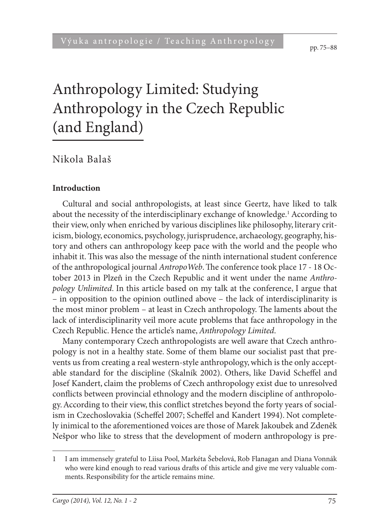pp. 75–88

# Anthropology Limited: Studying Anthropology in the Czech Republic (and England)

Nikola Balaš

#### **Introduction**

Cultural and social anthropologists, at least since Geertz, have liked to talk about the necessity of the interdisciplinary exchange of knowledge.<sup>1</sup> According to their view, only when enriched by various disciplines like philosophy, literary criticism, biology, economics, psychology, jurisprudence, archaeology, geography, history and others can anthropology keep pace with the world and the people who inhabit it. This was also the message of the ninth international student conference of the anthropological journal *AntropoWeb*. The conference took place 17 - 18 October 2013 in Plzeň in the Czech Republic and it went under the name *Anthropology Unlimited*. In this article based on my talk at the conference, I argue that – in opposition to the opinion outlined above – the lack of interdisciplinarity is the most minor problem – at least in Czech anthropology. The laments about the lack of interdisciplinarity veil more acute problems that face anthropology in the Czech Republic. Hence the article's name, *Anthropology Limited*.

Many contemporary Czech anthropologists are well aware that Czech anthropology is not in a healthy state. Some of them blame our socialist past that prevents us from creating a real western-style anthropology, which is the only acceptable standard for the discipline (Skalník 2002). Others, like David Scheffel and Josef Kandert, claim the problems of Czech anthropology exist due to unresolved conflicts between provincial ethnology and the modern discipline of anthropology. According to their view, this conflict stretches beyond the forty years of socialism in Czechoslovakia (Scheffel 2007; Scheffel and Kandert 1994). Not completely inimical to the aforementioned voices are those of Marek Jakoubek and Zdeněk Nešpor who like to stress that the development of modern anthropology is pre-

<sup>1</sup> I am immensely grateful to Liisa Pool, Markéta Šebelová, Rob Flanagan and Diana Vonnák who were kind enough to read various drafts of this article and give me very valuable comments. Responsibility for the article remains mine.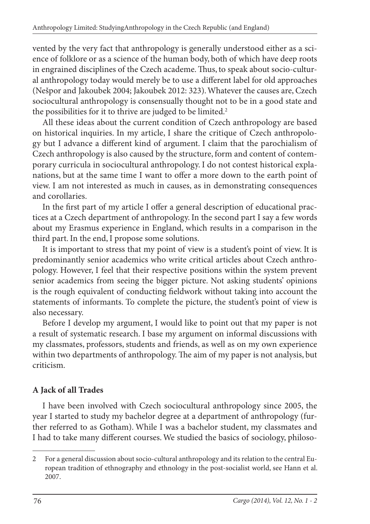vented by the very fact that anthropology is generally understood either as a science of folklore or as a science of the human body, both of which have deep roots in engrained disciplines of the Czech academe. Thus, to speak about socio-cultural anthropology today would merely be to use a different label for old approaches (Nešpor and Jakoubek 2004; Jakoubek 2012: 323). Whatever the causes are, Czech sociocultural anthropology is consensually thought not to be in a good state and the possibilities for it to thrive are judged to be limited.<sup>2</sup>

All these ideas about the current condition of Czech anthropology are based on historical inquiries. In my article, I share the critique of Czech anthropology but I advance a different kind of argument. I claim that the parochialism of Czech anthropology is also caused by the structure, form and content of contemporary curricula in sociocultural anthropology. I do not contest historical explanations, but at the same time I want to offer a more down to the earth point of view. I am not interested as much in causes, as in demonstrating consequences and corollaries.

In the first part of my article I offer a general description of educational practices at a Czech department of anthropology. In the second part I say a few words about my Erasmus experience in England, which results in a comparison in the third part. In the end, I propose some solutions.

It is important to stress that my point of view is a student's point of view. It is predominantly senior academics who write critical articles about Czech anthropology. However, I feel that their respective positions within the system prevent senior academics from seeing the bigger picture. Not asking students' opinions is the rough equivalent of conducting fieldwork without taking into account the statements of informants. To complete the picture, the student's point of view is also necessary.

Before I develop my argument, I would like to point out that my paper is not a result of systematic research. I base my argument on informal discussions with my classmates, professors, students and friends, as well as on my own experience within two departments of anthropology. The aim of my paper is not analysis, but criticism.

## **A Jack of all Trades**

I have been involved with Czech sociocultural anthropology since 2005, the year I started to study my bachelor degree at a department of anthropology (further referred to as Gotham). While I was a bachelor student, my classmates and I had to take many different courses. We studied the basics of sociology, philoso-

<sup>2</sup> For a general discussion about socio-cultural anthropology and its relation to the central European tradition of ethnography and ethnology in the post-socialist world, see Hann et al. 2007.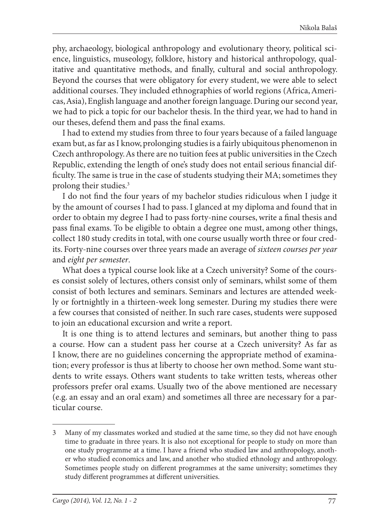phy, archaeology, biological anthropology and evolutionary theory, political science, linguistics, museology, folklore, history and historical anthropology, qualitative and quantitative methods, and finally, cultural and social anthropology. Beyond the courses that were obligatory for every student, we were able to select additional courses. They included ethnographies of world regions (Africa, Americas, Asia), English language and another foreign language. During our second year, we had to pick a topic for our bachelor thesis. In the third year, we had to hand in our theses, defend them and pass the final exams.

I had to extend my studies from three to four years because of a failed language exam but, as far as I know, prolonging studies is a fairly ubiquitous phenomenon in Czech anthropology. As there are no tuition fees at public universities in the Czech Republic, extending the length of one's study does not entail serious financial difficulty. The same is true in the case of students studying their MA; sometimes they prolong their studies.3

I do not find the four years of my bachelor studies ridiculous when I judge it by the amount of courses I had to pass. I glanced at my diploma and found that in order to obtain my degree I had to pass forty-nine courses, write a final thesis and pass final exams. To be eligible to obtain a degree one must, among other things, collect 180 study credits in total, with one course usually worth three or four credits. Forty-nine courses over three years made an average of *sixteen courses per year* and *eight per semester*.

What does a typical course look like at a Czech university? Some of the courses consist solely of lectures, others consist only of seminars, whilst some of them consist of both lectures and seminars. Seminars and lectures are attended weekly or fortnightly in a thirteen-week long semester. During my studies there were a few courses that consisted of neither. In such rare cases, students were supposed to join an educational excursion and write a report.

It is one thing is to attend lectures and seminars, but another thing to pass a course. How can a student pass her course at a Czech university? As far as I know, there are no guidelines concerning the appropriate method of examination; every professor is thus at liberty to choose her own method. Some want students to write essays. Others want students to take written tests, whereas other professors prefer oral exams. Usually two of the above mentioned are necessary (e.g. an essay and an oral exam) and sometimes all three are necessary for a particular course.

<sup>3</sup> Many of my classmates worked and studied at the same time, so they did not have enough time to graduate in three years. It is also not exceptional for people to study on more than one study programme at a time. I have a friend who studied law and anthropology, another who studied economics and law, and another who studied ethnology and anthropology. Sometimes people study on different programmes at the same university; sometimes they study different programmes at different universities.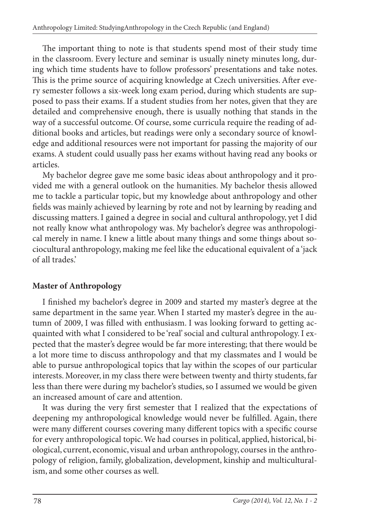The important thing to note is that students spend most of their study time in the classroom. Every lecture and seminar is usually ninety minutes long, during which time students have to follow professors' presentations and take notes. This is the prime source of acquiring knowledge at Czech universities. After every semester follows a six-week long exam period, during which students are supposed to pass their exams. If a student studies from her notes, given that they are detailed and comprehensive enough, there is usually nothing that stands in the way of a successful outcome. Of course, some curricula require the reading of additional books and articles, but readings were only a secondary source of knowledge and additional resources were not important for passing the majority of our exams. A student could usually pass her exams without having read any books or articles.

My bachelor degree gave me some basic ideas about anthropology and it provided me with a general outlook on the humanities. My bachelor thesis allowed me to tackle a particular topic, but my knowledge about anthropology and other fields was mainly achieved by learning by rote and not by learning by reading and discussing matters. I gained a degree in social and cultural anthropology, yet I did not really know what anthropology was. My bachelor's degree was anthropological merely in name. I knew a little about many things and some things about sociocultural anthropology, making me feel like the educational equivalent of a 'jack of all trades.'

## **Master of Anthropology**

I finished my bachelor's degree in 2009 and started my master's degree at the same department in the same year. When I started my master's degree in the autumn of 2009, I was filled with enthusiasm. I was looking forward to getting acquainted with what I considered to be 'real' social and cultural anthropology. I expected that the master's degree would be far more interesting; that there would be a lot more time to discuss anthropology and that my classmates and I would be able to pursue anthropological topics that lay within the scopes of our particular interests. Moreover, in my class there were between twenty and thirty students, far less than there were during my bachelor's studies, so I assumed we would be given an increased amount of care and attention.

It was during the very first semester that I realized that the expectations of deepening my anthropological knowledge would never be fulfilled. Again, there were many different courses covering many different topics with a specific course for every anthropological topic. We had courses in political, applied, historical, biological, current, economic, visual and urban anthropology, courses in the anthropology of religion, family, globalization, development, kinship and multiculturalism, and some other courses as well.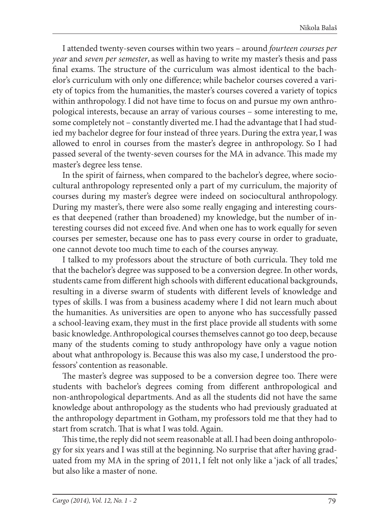I attended twenty-seven courses within two years – around *fourteen courses per year* and *seven per semester*, as well as having to write my master's thesis and pass final exams. The structure of the curriculum was almost identical to the bachelor's curriculum with only one difference; while bachelor courses covered a variety of topics from the humanities, the master's courses covered a variety of topics within anthropology. I did not have time to focus on and pursue my own anthropological interests, because an array of various courses – some interesting to me, some completely not – constantly diverted me. I had the advantage that I had studied my bachelor degree for four instead of three years. During the extra year, I was allowed to enrol in courses from the master's degree in anthropology. So I had passed several of the twenty-seven courses for the MA in advance. This made my master's degree less tense.

In the spirit of fairness, when compared to the bachelor's degree, where sociocultural anthropology represented only a part of my curriculum, the majority of courses during my master's degree were indeed on sociocultural anthropology. During my master's, there were also some really engaging and interesting courses that deepened (rather than broadened) my knowledge, but the number of interesting courses did not exceed five. And when one has to work equally for seven courses per semester, because one has to pass every course in order to graduate, one cannot devote too much time to each of the courses anyway.

I talked to my professors about the structure of both curricula. They told me that the bachelor's degree was supposed to be a conversion degree. In other words, students came from different high schools with different educational backgrounds, resulting in a diverse swarm of students with different levels of knowledge and types of skills. I was from a business academy where I did not learn much about the humanities. As universities are open to anyone who has successfully passed a school-leaving exam, they must in the first place provide all students with some basic knowledge. Anthropological courses themselves cannot go too deep, because many of the students coming to study anthropology have only a vague notion about what anthropology is. Because this was also my case, I understood the professors' contention as reasonable.

The master's degree was supposed to be a conversion degree too. There were students with bachelor's degrees coming from different anthropological and non-anthropological departments. And as all the students did not have the same knowledge about anthropology as the students who had previously graduated at the anthropology department in Gotham, my professors told me that they had to start from scratch. That is what I was told. Again.

This time, the reply did not seem reasonable at all. I had been doing anthropology for six years and I was still at the beginning. No surprise that after having graduated from my MA in the spring of 2011, I felt not only like a 'jack of all trades,' but also like a master of none.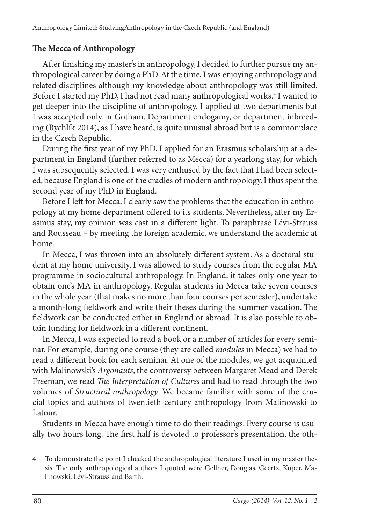## **The Mecca of Anthropology**

After finishing my master's in anthropology, I decided to further pursue my anthropological career by doing a PhD. At the time, I was enjoying anthropology and related disciplines although my knowledge about anthropology was still limited. Before I started my PhD, I had not read many anthropological works.<sup>4</sup> I wanted to get deeper into the discipline of anthropology. I applied at two departments but I was accepted only in Gotham. Department endogamy, or department inbreeding (Rychlík 2014), as I have heard, is quite unusual abroad but is a commonplace in the Czech Republic.

During the first year of my PhD, I applied for an Erasmus scholarship at a department in England (further referred to as Mecca) for a yearlong stay, for which I was subsequently selected. I was very enthused by the fact that I had been selected, because England is one of the cradles of modern anthropology. I thus spent the second year of my PhD in England.

Before I left for Mecca, I clearly saw the problems that the education in anthropology at my home department offered to its students. Nevertheless, after my Erasmus stay, my opinion was cast in a different light. To paraphrase Lévi-Strauss and Rousseau – by meeting the foreign academic, we understand the academic at home.

In Mecca, I was thrown into an absolutely different system. As a doctoral student at my home university, I was allowed to study courses from the regular MA programme in sociocultural anthropology. In England, it takes only one year to obtain one's MA in anthropology. Regular students in Mecca take seven courses in the whole year (that makes no more than four courses per semester), undertake a month-long fieldwork and write their theses during the summer vacation. The fieldwork can be conducted either in England or abroad. It is also possible to obtain funding for fieldwork in a different continent.

In Mecca, I was expected to read a book or a number of articles for every seminar. For example, during one course (they are called *modules* in Mecca) we had to read a different book for each seminar. At one of the modules, we got acquainted with Malinowski's *Argonauts*, the controversy between Margaret Mead and Derek Freeman, we read *The Interpretation of Cultures* and had to read through the two volumes of *Structural anthropology*. We became familiar with some of the crucial topics and authors of twentieth century anthropology from Malinowski to Latour.

Students in Mecca have enough time to do their readings. Every course is usually two hours long. The first half is devoted to professor's presentation, the oth-

<sup>4</sup> To demonstrate the point I checked the anthropological literature I used in my master thesis. The only anthropological authors I quoted were Gellner, Douglas, Geertz, Kuper, Malinowski, Lévi-Strauss and Barth.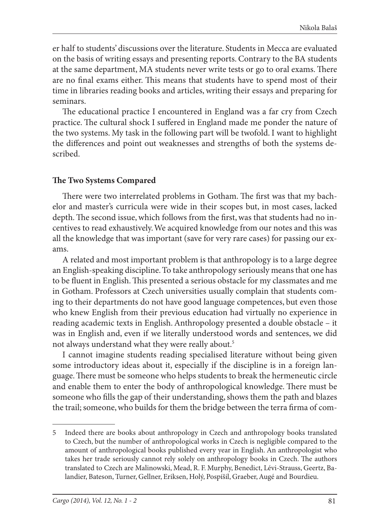er half to students' discussions over the literature. Students in Mecca are evaluated on the basis of writing essays and presenting reports. Contrary to the BA students at the same department, MA students never write tests or go to oral exams. There are no final exams either. This means that students have to spend most of their time in libraries reading books and articles, writing their essays and preparing for seminars.

The educational practice I encountered in England was a far cry from Czech practice. The cultural shock I suffered in England made me ponder the nature of the two systems. My task in the following part will be twofold. I want to highlight the differences and point out weaknesses and strengths of both the systems described.

### **The Two Systems Compared**

There were two interrelated problems in Gotham. The first was that my bachelor and master's curricula were wide in their scopes but, in most cases, lacked depth. The second issue, which follows from the first, was that students had no incentives to read exhaustively. We acquired knowledge from our notes and this was all the knowledge that was important (save for very rare cases) for passing our exams.

A related and most important problem is that anthropology is to a large degree an English-speaking discipline. To take anthropology seriously means that one has to be fluent in English. This presented a serious obstacle for my classmates and me in Gotham. Professors at Czech universities usually complain that students coming to their departments do not have good language competences, but even those who knew English from their previous education had virtually no experience in reading academic texts in English. Anthropology presented a double obstacle – it was in English and, even if we literally understood words and sentences, we did not always understand what they were really about.<sup>5</sup>

I cannot imagine students reading specialised literature without being given some introductory ideas about it, especially if the discipline is in a foreign language. There must be someone who helps students to break the hermeneutic circle and enable them to enter the body of anthropological knowledge. There must be someone who fills the gap of their understanding, shows them the path and blazes the trail; someone, who builds for them the bridge between the terra firma of com-

<sup>5</sup> Indeed there are books about anthropology in Czech and anthropology books translated to Czech, but the number of anthropological works in Czech is negligible compared to the amount of anthropological books published every year in English. An anthropologist who takes her trade seriously cannot rely solely on anthropology books in Czech. The authors translated to Czech are Malinowski, Mead, R. F. Murphy, Benedict, Lévi-Strauss, Geertz, Balandier, Bateson, Turner, Gellner, Eriksen, Holý, Pospíšil, Graeber, Augé and Bourdieu.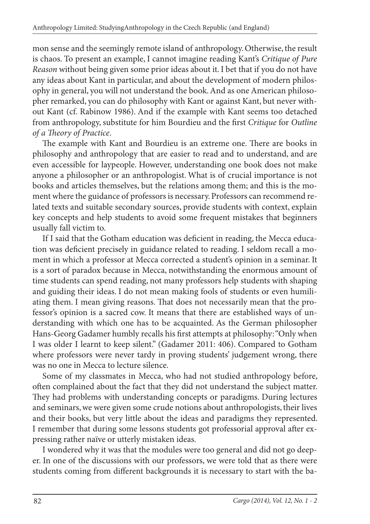mon sense and the seemingly remote island of anthropology. Otherwise, the result is chaos. To present an example, I cannot imagine reading Kant's *Critique of Pure Reason* without being given some prior ideas about it. I bet that if you do not have any ideas about Kant in particular, and about the development of modern philosophy in general, you will not understand the book. And as one American philosopher remarked, you can do philosophy with Kant or against Kant, but never without Kant (cf. Rabinow 1986). And if the example with Kant seems too detached from anthropology, substitute for him Bourdieu and the first *Critique* for *Outline of a Th eory of Practice*.

The example with Kant and Bourdieu is an extreme one. There are books in philosophy and anthropology that are easier to read and to understand, and are even accessible for laypeople. However, understanding one book does not make anyone a philosopher or an anthropologist. What is of crucial importance is not books and articles themselves, but the relations among them; and this is the moment where the guidance of professors is necessary. Professors can recommend related texts and suitable secondary sources, provide students with context, explain key concepts and help students to avoid some frequent mistakes that beginners usually fall victim to.

If I said that the Gotham education was deficient in reading, the Mecca education was deficient precisely in guidance related to reading. I seldom recall a moment in which a professor at Mecca corrected a student's opinion in a seminar. It is a sort of paradox because in Mecca, notwithstanding the enormous amount of time students can spend reading, not many professors help students with shaping and guiding their ideas. I do not mean making fools of students or even humiliating them. I mean giving reasons. That does not necessarily mean that the professor's opinion is a sacred cow. It means that there are established ways of understanding with which one has to be acquainted. As the German philosopher Hans-Georg Gadamer humbly recalls his first attempts at philosophy: "Only when I was older I learnt to keep silent." (Gadamer 2011: 406). Compared to Gotham where professors were never tardy in proving students' judgement wrong, there was no one in Mecca to lecture silence.

Some of my classmates in Mecca, who had not studied anthropology before, often complained about the fact that they did not understand the subject matter. They had problems with understanding concepts or paradigms. During lectures and seminars, we were given some crude notions about anthropologists, their lives and their books, but very little about the ideas and paradigms they represented. I remember that during some lessons students got professorial approval after expressing rather naïve or utterly mistaken ideas.

I wondered why it was that the modules were too general and did not go deeper. In one of the discussions with our professors, we were told that as there were students coming from different backgrounds it is necessary to start with the ba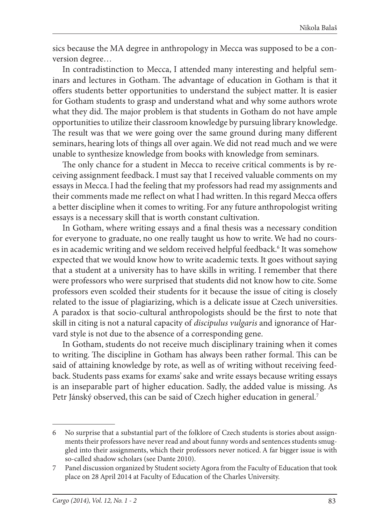sics because the MA degree in anthropology in Mecca was supposed to be a conversion degree…

In contradistinction to Mecca, I attended many interesting and helpful seminars and lectures in Gotham. The advantage of education in Gotham is that it offers students better opportunities to understand the subject matter. It is easier for Gotham students to grasp and understand what and why some authors wrote what they did. The major problem is that students in Gotham do not have ample opportunities to utilize their classroom knowledge by pursuing library knowledge. The result was that we were going over the same ground during many different seminars, hearing lots of things all over again. We did not read much and we were unable to synthesize knowledge from books with knowledge from seminars.

The only chance for a student in Mecca to receive critical comments is by receiving assignment feedback. I must say that I received valuable comments on my essays in Mecca. I had the feeling that my professors had read my assignments and their comments made me reflect on what I had written. In this regard Mecca offers a better discipline when it comes to writing. For any future anthropologist writing essays is a necessary skill that is worth constant cultivation.

In Gotham, where writing essays and a final thesis was a necessary condition for everyone to graduate, no one really taught us how to write. We had no courses in academic writing and we seldom received helpful feedback.<sup>6</sup> It was somehow expected that we would know how to write academic texts. It goes without saying that a student at a university has to have skills in writing. I remember that there were professors who were surprised that students did not know how to cite. Some professors even scolded their students for it because the issue of citing is closely related to the issue of plagiarizing, which is a delicate issue at Czech universities. A paradox is that socio-cultural anthropologists should be the first to note that skill in citing is not a natural capacity of *discipulus vulgaris* and ignorance of Harvard style is not due to the absence of a corresponding gene.

In Gotham, students do not receive much disciplinary training when it comes to writing. The discipline in Gotham has always been rather formal. This can be said of attaining knowledge by rote, as well as of writing without receiving feedback. Students pass exams for exams' sake and write essays because writing essays is an inseparable part of higher education. Sadly, the added value is missing. As Petr Jánský observed, this can be said of Czech higher education in general.<sup>7</sup>

<sup>6</sup> No surprise that a substantial part of the folklore of Czech students is stories about assignments their professors have never read and about funny words and sentences students smuggled into their assignments, which their professors never noticed. A far bigger issue is with so-called shadow scholars (see Dante 2010).

<sup>7</sup> Panel discussion organized by Student society Agora from the Faculty of Education that took place on 28 April 2014 at Faculty of Education of the Charles University.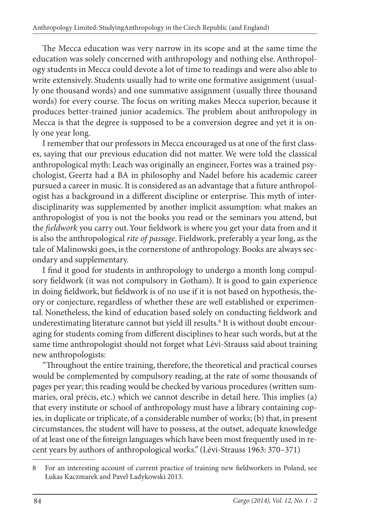The Mecca education was very narrow in its scope and at the same time the education was solely concerned with anthropology and nothing else. Anthropology students in Mecca could devote a lot of time to readings and were also able to write extensively. Students usually had to write one formative assignment (usually one thousand words) and one summative assignment (usually three thousand words) for every course. The focus on writing makes Mecca superior, because it produces better-trained junior academics. The problem about anthropology in Mecca is that the degree is supposed to be a conversion degree and yet it is only one year long.

I remember that our professors in Mecca encouraged us at one of the first classes, saying that our previous education did not matter. We were told the classical anthropological myth: Leach was originally an engineer, Fortes was a trained psychologist, Geertz had a BA in philosophy and Nadel before his academic career pursued a career in music. It is considered as an advantage that a future anthropologist has a background in a different discipline or enterprise. This myth of interdisciplinarity was supplemented by another implicit assumption: what makes an anthropologist of you is not the books you read or the seminars you attend, but the *fieldwork* you carry out. Your fieldwork is where you get your data from and it is also the anthropological *rite of passage*. Fieldwork, preferably a year long, as the tale of Malinowski goes, is the cornerstone of anthropology. Books are always secondary and supplementary.

I find it good for students in anthropology to undergo a month long compulsory fieldwork (it was not compulsory in Gotham). It is good to gain experience in doing fieldwork, but fieldwork is of no use if it is not based on hypothesis, theory or conjecture, regardless of whether these are well established or experimental. Nonetheless, the kind of education based solely on conducting fieldwork and underestimating literature cannot but yield ill results.<sup>8</sup> It is without doubt encouraging for students coming from different disciplines to hear such words, but at the same time anthropologist should not forget what Lévi-Strauss said about training new anthropologists:

"Throughout the entire training, therefore, the theoretical and practical courses would be complemented by compulsory reading, at the rate of some thousands of pages per year; this reading would be checked by various procedures (written summaries, oral précis, etc.) which we cannot describe in detail here. This implies (a) that every institute or school of anthropology must have a library containing copies, in duplicate or triplicate, of a considerable number of works; (b) that, in present circumstances, the student will have to possess, at the outset, adequate knowledge of at least one of the foreign languages which have been most frequently used in recent years by authors of anthropological works." (Lévi-Strauss 1963: 370–371)

<sup>8</sup> For an interesting account of current practice of training new fieldworkers in Poland, see Łukas Kaczmarek and Pavel Ładykowski 2013.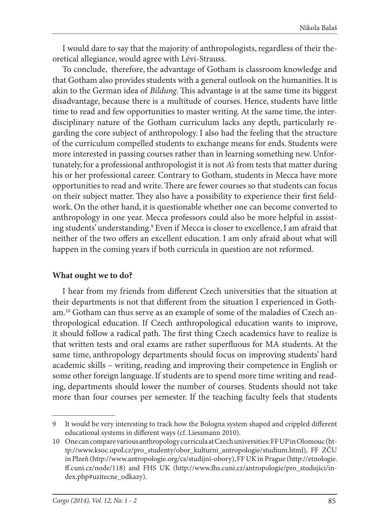I would dare to say that the majority of anthropologists, regardless of their theoretical allegiance, would agree with Lévi-Strauss.

To conclude, therefore, the advantage of Gotham is classroom knowledge and that Gotham also provides students with a general outlook on the humanities. It is akin to the German idea of *Bildung*. This advantage is at the same time its biggest disadvantage, because there is a multitude of courses. Hence, students have little time to read and few opportunities to master writing. At the same time, the interdisciplinary nature of the Gotham curriculum lacks any depth, particularly regarding the core subject of anthropology. I also had the feeling that the structure of the curriculum compelled students to exchange means for ends. Students were more interested in passing courses rather than in learning something new. Unfortunately, for a professional anthropologist it is not *A's* from tests that matter during his or her professional career. Contrary to Gotham, students in Mecca have more opportunities to read and write. There are fewer courses so that students can focus on their subject matter. They also have a possibility to experience their first fieldwork. On the other hand, it is questionable whether one can become converted to anthropology in one year. Mecca professors could also be more helpful in assisting students' understanding.<sup>9</sup> Even if Mecca is closer to excellence, I am afraid that neither of the two offers an excellent education. I am only afraid about what will happen in the coming years if both curricula in question are not reformed.

### **What ought we to do?**

I hear from my friends from different Czech universities that the situation at their departments is not that different from the situation I experienced in Gotham.10 Gotham can thus serve as an example of some of the maladies of Czech anthropological education. If Czech anthropological education wants to improve, it should follow a radical path. The first thing Czech academics have to realize is that written tests and oral exams are rather superfluous for MA students. At the same time, anthropology departments should focus on improving students' hard academic skills – writing, reading and improving their competence in English or some other foreign language. If students are to spend more time writing and reading, departments should lower the number of courses. Students should not take more than four courses per semester. If the teaching faculty feels that students

<sup>9</sup> It would be very interesting to track how the Bologna system shaped and crippled different educational systems in different ways (cf. Liessmann 2010).

<sup>10</sup> One can compare various anthropology curricula at Czech universities: FF UP in Olomouc (http://www.ksoc.upol.cz/pro\_studenty/obor\_kulturni\_antropologie/studium.html), FF ZČU in Plzeň (http://www.antropologie.org/cs/studijni-obory), FF UK in Prague (http://etnologie. ff .cuni.cz/node/118) and FHS UK (http://www.fh s.cuni.cz/antropologie/pro\_studujici/index.php#uzitecne\_odkazy).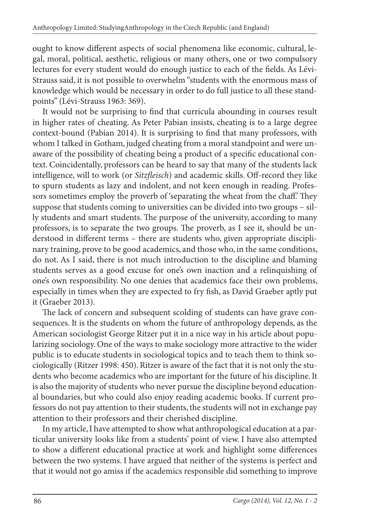ought to know different aspects of social phenomena like economic, cultural, legal, moral, political, aesthetic, religious or many others, one or two compulsory lectures for every student would do enough justice to each of the fields. As Lévi-Strauss said, it is not possible to overwhelm "students with the enormous mass of knowledge which would be necessary in order to do full justice to all these standpoints" (Lévi-Strauss 1963: 369).

It would not be surprising to find that curricula abounding in courses result in higher rates of cheating. As Peter Pabian insists, cheating is to a large degree context-bound (Pabian 2014). It is surprising to find that many professors, with whom I talked in Gotham, judged cheating from a moral standpoint and were unaware of the possibility of cheating being a product of a specific educational context. Coincidentally, professors can be heard to say that many of the students lack intelligence, will to work (or *Sitzfleisch*) and academic skills. Off-record they like to spurn students as lazy and indolent, and not keen enough in reading. Professors sometimes employ the proverb of 'separating the wheat from the chaff.' They suppose that students coming to universities can be divided into two groups – silly students and smart students. The purpose of the university, according to many professors, is to separate the two groups. The proverb, as I see it, should be understood in different terms - there are students who, given appropriate disciplinary training, prove to be good academics, and those who, in the same conditions, do not. As I said, there is not much introduction to the discipline and blaming students serves as a good excuse for one's own inaction and a relinquishing of one's own responsibility. No one denies that academics face their own problems, especially in times when they are expected to fry fish, as David Graeber aptly put it (Graeber 2013).

The lack of concern and subsequent scolding of students can have grave consequences. It is the students on whom the future of anthropology depends, as the American sociologist George Ritzer put it in a nice way in his article about popularizing sociology. One of the ways to make sociology more attractive to the wider public is to educate students in sociological topics and to teach them to think sociologically (Ritzer 1998: 450). Ritzer is aware of the fact that it is not only the students who become academics who are important for the future of his discipline. It is also the majority of students who never pursue the discipline beyond educational boundaries, but who could also enjoy reading academic books. If current professors do not pay attention to their students, the students will not in exchange pay attention to their professors and their cherished discipline.

In my article, I have attempted to show what anthropological education at a particular university looks like from a students' point of view. I have also attempted to show a different educational practice at work and highlight some differences between the two systems. I have argued that neither of the systems is perfect and that it would not go amiss if the academics responsible did something to improve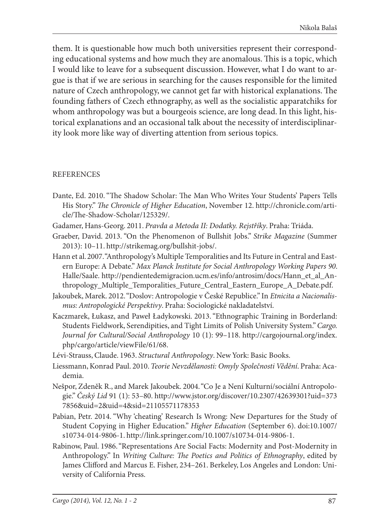them. It is questionable how much both universities represent their corresponding educational systems and how much they are anomalous. This is a topic, which I would like to leave for a subsequent discussion. However, what I do want to argue is that if we are serious in searching for the causes responsible for the limited nature of Czech anthropology, we cannot get far with historical explanations. The founding fathers of Czech ethnography, as well as the socialistic apparatchiks for whom anthropology was but a bourgeois science, are long dead. In this light, historical explanations and an occasional talk about the necessity of interdisciplinarity look more like way of diverting attention from serious topics.

#### **REFERENCES**

- Dante, Ed. 2010. "The Shadow Scholar: The Man Who Writes Your Students' Papers Tells His Story." *The Chronicle of Higher Education*, November 12. http://chronicle.com/article/The-Shadow-Scholar/125329/.
- Gadamer, Hans-Georg. 2011. *Pravda a Metoda II: Dodatky. Rejstříky*. Praha: Triáda.
- Graeber, David. 2013. "On the Phenomenon of Bullshit Jobs." *Strike Magazine* (Summer 2013): 10–11. http://strikemag.org/bullshit-jobs/.
- Hann et al. 2007. "Anthropology's Multiple Temporalities and Its Future in Central and Eastern Europe: A Debate." *Max Planck Institute for Social Anthropology Working Papers 90*. Halle/Saale. http://pendientedemigracion.ucm.es/info/antrosim/docs/Hann\_et\_al\_Anthropology\_Multiple\_Temporalities\_Future\_Central\_Eastern\_Europe\_A\_Debate.pdf.
- Jakoubek, Marek. 2012. "Doslov: Antropologie v České Republice." In *Etnicita a Nacionalismus: Antropologické Perspektivy*. Praha: Sociologické nakladatelství.
- Kaczmarek, Łukasz, and Paweł Ładykowski. 2013. "Ethnographic Training in Borderland: Students Fieldwork, Serendipities, and Tight Limits of Polish University System." *Cargo. Journal for Cultural/Social Anthropology* 10 (1): 99–118. http://cargojournal.org/index. php/cargo/article/viewFile/61/68.
- Lévi-Strauss, Claude. 1963. *Structural Anthropology*. New York: Basic Books.
- Liessmann, Konrad Paul. 2010. *Teorie Nevzdělanosti: Omyly Společnosti Vědění*. Praha: Academia.
- Nešpor, Zdeněk R., and Marek Jakoubek. 2004. "Co Je a Není Kulturní/sociální Antropologie." *Český Lid* 91 (1): 53–80. http://www.jstor.org/discover/10.2307/42639301?uid=373 7856&uid=2&uid=4&sid=21105571178353
- Pabian, Petr. 2014. "Why 'cheating' Research Is Wrong: New Departures for the Study of Student Copying in Higher Education." *Higher Education* (September 6). doi:10.1007/ s10734-014-9806-1. http://link.springer.com/10.1007/s10734-014-9806-1.
- Rabinow, Paul. 1986. "Representations Are Social Facts: Modernity and Post-Modernity in Anthropology." In *Writing Culture: The Poetics and Politics of Ethnography*, edited by James Clifford and Marcus E. Fisher, 234-261. Berkeley, Los Angeles and London: University of California Press.